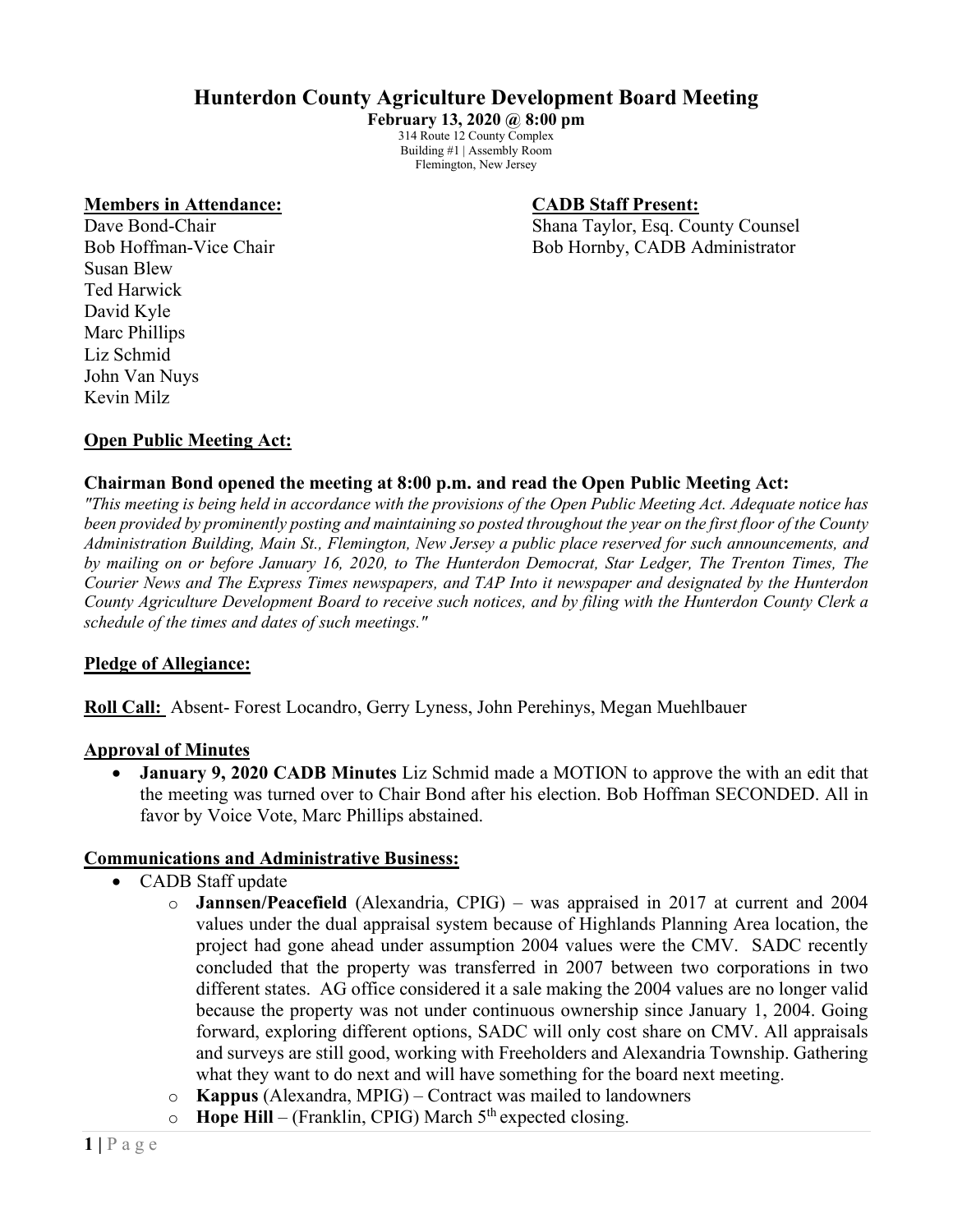# **Hunterdon County Agriculture Development Board Meeting**

**February 13, 2020 @ 8:00 pm** 314 Route 12 County Complex Building #1 | Assembly Room Flemington, New Jersey

#### **Members in Attendance: CADB Staff Present:**

Dave Bond-Chair **Shana Taylor, Esq. County Counsel** Bob Hoffman-Vice Chair Bob Hornby, CADB Administrator

Susan Blew Ted Harwick David Kyle Marc Phillips Liz Schmid John Van Nuys Kevin Milz

## **Open Public Meeting Act:**

### **Chairman Bond opened the meeting at 8:00 p.m. and read the Open Public Meeting Act:**

*"This meeting is being held in accordance with the provisions of the Open Public Meeting Act. Adequate notice has been provided by prominently posting and maintaining so posted throughout the year on the first floor of the County Administration Building, Main St., Flemington, New Jersey a public place reserved for such announcements, and by mailing on or before January 16, 2020, to The Hunterdon Democrat, Star Ledger, The Trenton Times, The Courier News and The Express Times newspapers, and TAP Into it newspaper and designated by the Hunterdon County Agriculture Development Board to receive such notices, and by filing with the Hunterdon County Clerk a schedule of the times and dates of such meetings."*

### **Pledge of Allegiance:**

**Roll Call:** Absent- Forest Locandro, Gerry Lyness, John Perehinys, Megan Muehlbauer

#### **Approval of Minutes**

• **January 9, 2020 CADB Minutes** Liz Schmid made a MOTION to approve the with an edit that the meeting was turned over to Chair Bond after his election. Bob Hoffman SECONDED. All in favor by Voice Vote, Marc Phillips abstained.

#### **Communications and Administrative Business:**

- CADB Staff update
	- o **Jannsen/Peacefield** (Alexandria, CPIG) was appraised in 2017 at current and 2004 values under the dual appraisal system because of Highlands Planning Area location, the project had gone ahead under assumption 2004 values were the CMV. SADC recently concluded that the property was transferred in 2007 between two corporations in two different states. AG office considered it a sale making the 2004 values are no longer valid because the property was not under continuous ownership since January 1, 2004. Going forward, exploring different options, SADC will only cost share on CMV. All appraisals and surveys are still good, working with Freeholders and Alexandria Township. Gathering what they want to do next and will have something for the board next meeting.
	- o **Kappus** (Alexandra, MPIG) Contract was mailed to landowners
	- $\circ$  **Hope Hill** (Franklin, CPIG) March 5<sup>th</sup> expected closing.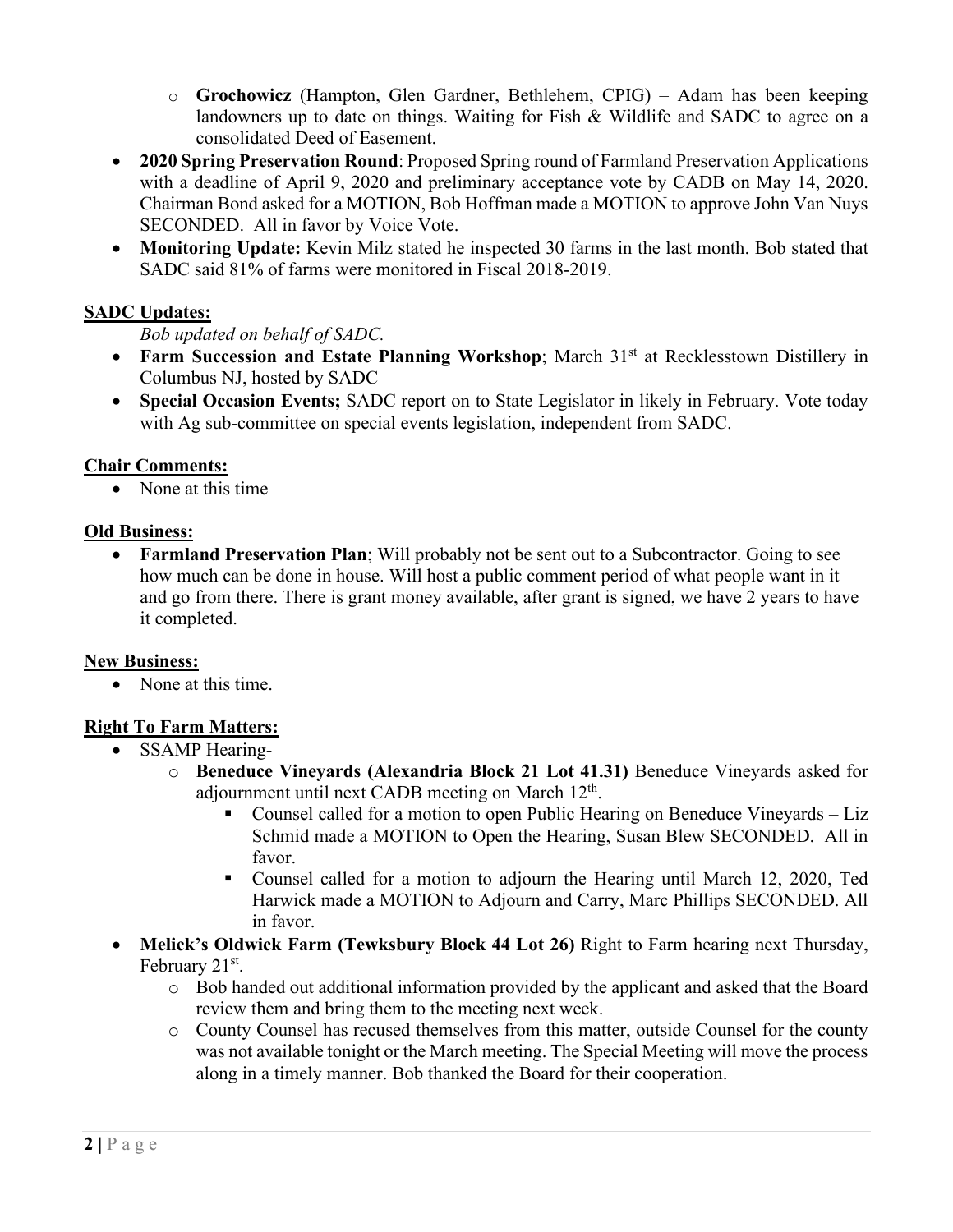- o **Grochowicz** (Hampton, Glen Gardner, Bethlehem, CPIG) Adam has been keeping landowners up to date on things. Waiting for Fish & Wildlife and SADC to agree on a consolidated Deed of Easement.
- **2020 Spring Preservation Round**: Proposed Spring round of Farmland Preservation Applications with a deadline of April 9, 2020 and preliminary acceptance vote by CADB on May 14, 2020. Chairman Bond asked for a MOTION, Bob Hoffman made a MOTION to approve John Van Nuys SECONDED. All in favor by Voice Vote.
- **Monitoring Update:** Kevin Milz stated he inspected 30 farms in the last month. Bob stated that SADC said 81% of farms were monitored in Fiscal 2018-2019.

## **SADC Updates:**

*Bob updated on behalf of SADC.*

- **Farm Succession and Estate Planning Workshop**; March 31<sup>st</sup> at Recklesstown Distillery in Columbus NJ, hosted by SADC
- **Special Occasion Events;** SADC report on to State Legislator in likely in February. Vote today with Ag sub-committee on special events legislation, independent from SADC.

## **Chair Comments:**

• None at this time

## **Old Business:**

• **Farmland Preservation Plan**; Will probably not be sent out to a Subcontractor. Going to see how much can be done in house. Will host a public comment period of what people want in it and go from there. There is grant money available, after grant is signed, we have 2 years to have it completed.

## **New Business:**

• None at this time.

# **Right To Farm Matters:**

- SSAMP Hearing
	- o **Beneduce Vineyards (Alexandria Block 21 Lot 41.31)** Beneduce Vineyards asked for adjournment until next CADB meeting on March  $12<sup>th</sup>$ .
		- Counsel called for a motion to open Public Hearing on Beneduce Vineyards Liz Schmid made a MOTION to Open the Hearing, Susan Blew SECONDED. All in favor.
		- Counsel called for a motion to adjourn the Hearing until March 12, 2020, Ted Harwick made a MOTION to Adjourn and Carry, Marc Phillips SECONDED. All in favor.
- **Melick's Oldwick Farm (Tewksbury Block 44 Lot 26)** Right to Farm hearing next Thursday, February 21<sup>st</sup>.
	- o Bob handed out additional information provided by the applicant and asked that the Board review them and bring them to the meeting next week.
	- o County Counsel has recused themselves from this matter, outside Counsel for the county was not available tonight or the March meeting. The Special Meeting will move the process along in a timely manner. Bob thanked the Board for their cooperation.